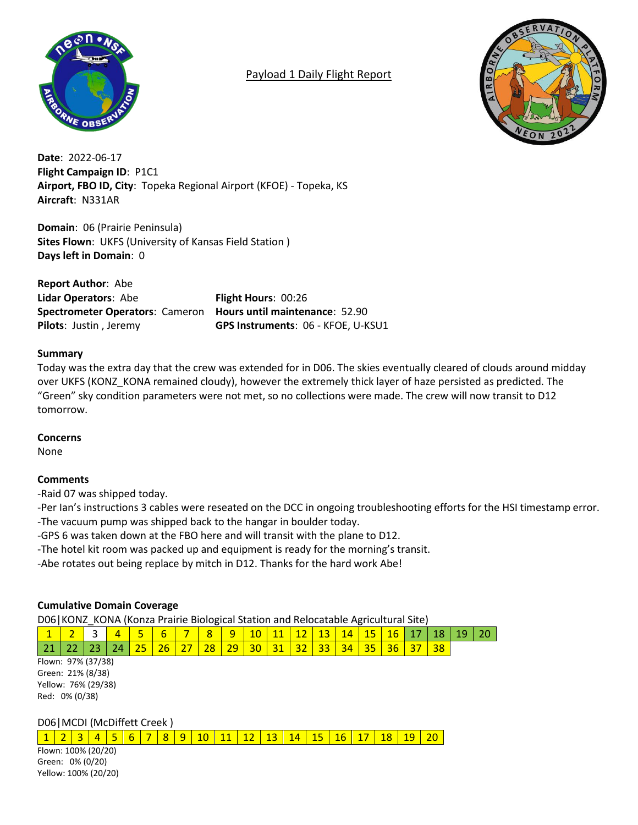

# Payload 1 Daily Flight Report



**Date**: 2022-06-17 **Flight Campaign ID**: P1C1 **Airport, FBO ID, City**: Topeka Regional Airport (KFOE) - Topeka, KS **Aircraft**: N331AR

**Domain**: 06 (Prairie Peninsula) **Sites Flown**: UKFS (University of Kansas Field Station ) **Days left in Domain**: 0

**Report Author**: Abe **Lidar Operators**: Abe **Flight Hours**: 00:26 **Spectrometer Operators**: Cameron **Hours until maintenance**: 52.90

**Pilots**: Justin , Jeremy **GPS Instruments**: 06 - KFOE, U-KSU1

### **Summary**

Today was the extra day that the crew was extended for in D06. The skies eventually cleared of clouds around midday over UKFS (KONZ\_KONA remained cloudy), however the extremely thick layer of haze persisted as predicted. The "Green" sky condition parameters were not met, so no collections were made. The crew will now transit to D12 tomorrow.

#### **Concerns**

None

### **Comments**

-Raid 07 was shipped today.

-Per Ian's instructions 3 cables were reseated on the DCC in ongoing troubleshooting efforts for the HSI timestamp error. -The vacuum pump was shipped back to the hangar in boulder today.

-GPS 6 was taken down at the FBO here and will transit with the plane to D12.

-The hotel kit room was packed up and equipment is ready for the morning's transit.

-Abe rotates out being replace by mitch in D12. Thanks for the hard work Abe!

### **Cumulative Domain Coverage**

D06|KONZ\_KONA (Konza Prairie Biological Station and Relocatable Agricultural Site)

|  |  |  |  |  |  |  |  |                                                                                         | <mark>  1   2  </mark> 3   <mark>4   5   6   7   8   9  10  11  12  13  14  15  16  17  18  19  20  </mark> |
|--|--|--|--|--|--|--|--|-----------------------------------------------------------------------------------------|-------------------------------------------------------------------------------------------------------------|
|  |  |  |  |  |  |  |  | 21   22   23   24   25   26   27   28   29   30   31   32   33   34   35   36   37   38 |                                                                                                             |

Flown: 97% (37/38) Green: 21% (8/38) Yellow: 76% (29/38) Red: 0% (0/38)

D06|MCDI (McDiffett Creek )

1 | 2 | 3 | 4 | 5 | 6 | 7 | 8 | 9 | 10 | 11 | 12 | 13 | 14 | 15 | 16 | 17 | 18 | 19 | 20

Flown: 100% (20/20) Green: 0% (0/20) Yellow: 100% (20/20)